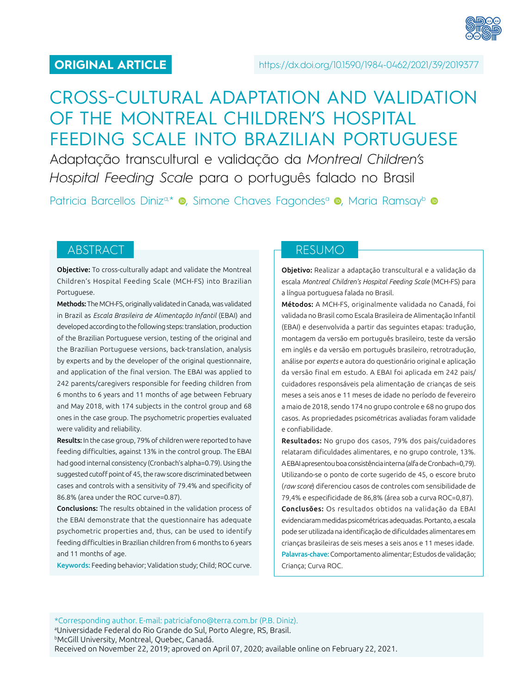# CROSS-CULTURAL ADAPTATION AND VALIDATION OF THE MONTREAL CHILDREN'S HOSPITAL FEEDING SCALE INTO BRAZILIAN PORTUGUESE

Adaptação transcultural e validação da *Montreal Children's Hospital Feeding Scale* para o português falado no Brasil

Patricia Barcellos Diniz<sup>a[,](https://orcid.org/0000-0001-5173-2488)\*</sup> · Simone Chaves Fagondes<sup>a</sup> · Maria Ramsay<sup>b</sup> ·

Objective: To cross-culturally adapt and validate the Montreal Children's Hospital Feeding Scale (MCH-FS) into Brazilian Portuguese.

Methods: The MCH-FS, originally validated in Canada, was validated in Brazil as *Escala Brasileira de Alimentação Infantil* (EBAI) and developed according to the following steps: translation, production of the Brazilian Portuguese version, testing of the original and the Brazilian Portuguese versions, back-translation, analysis by experts and by the developer of the original questionnaire, and application of the final version. The EBAI was applied to 242 parents/caregivers responsible for feeding children from 6 months to 6 years and 11 months of age between February and May 2018, with 174 subjects in the control group and 68 ones in the case group. The psychometric properties evaluated were validity and reliability.

Results: In the case group, 79% of children were reported to have feeding difficulties, against 13% in the control group. The EBAI had good internal consistency (Cronbach's alpha=0.79). Using the suggested cutoff point of 45, the raw score discriminated between cases and controls with a sensitivity of 79.4% and specificity of 86.8% (area under the ROC curve=0.87).

Conclusions: The results obtained in the validation process of the EBAI demonstrate that the questionnaire has adequate psychometric properties and, thus, can be used to identify feeding difficulties in Brazilian children from 6 months to 6 years and 11 months of age.

Keywords: Feeding behavior; Validation study; Child; ROC curve.

# ABSTRACT RESUMO

Objetivo: Realizar a adaptação transcultural e a validação da escala *Montreal Children's Hospital Feeding Scale* (MCH-FS) para a língua portuguesa falada no Brasil.

Métodos: A MCH-FS, originalmente validada no Canadá, foi validada no Brasil como Escala Brasileira de Alimentação Infantil (EBAI) e desenvolvida a partir das seguintes etapas: tradução, montagem da versão em português brasileiro, teste da versão em inglês e da versão em português brasileiro, retrotradução, análise por *experts* e autora do questionário original e aplicação da versão final em estudo. A EBAI foi aplicada em 242 pais/ cuidadores responsáveis pela alimentação de crianças de seis meses a seis anos e 11 meses de idade no período de fevereiro a maio de 2018, sendo 174 no grupo controle e 68 no grupo dos casos. As propriedades psicométricas avaliadas foram validade e confiabilidade.

Resultados: No grupo dos casos, 79% dos pais/cuidadores relataram dificuldades alimentares, e no grupo controle, 13%. A EBAI apresentou boa consistência interna (alfa de Cronbach=0,79). Utilizando-se o ponto de corte sugerido de 45, o escore bruto (*raw score*) diferenciou casos de controles com sensibilidade de 79,4% e especificidade de 86,8% (área sob a curva ROC=0,87).

Conclusões: Os resultados obtidos na validação da EBAI evidenciaram medidas psicométricas adequadas. Portanto, a escala pode ser utilizada na identificação de dificuldades alimentares em crianças brasileiras de seis meses a seis anos e 11 meses idade. Palavras-chave: Comportamento alimentar; Estudos de validação; Criança; Curva ROC.

\*Corresponding author. E-mail: [patriciafono@terra.com.br](mailto:patriciafono@terra.com.br) (P.B. Diniz). a Universidade Federal do Rio Grande do Sul, Porto Alegre, RS, Brasil. **bMcGill University, Montreal, Quebec, Canadá.** Received on November 22, 2019; aproved on April 07, 2020; available online on February 22, 2021.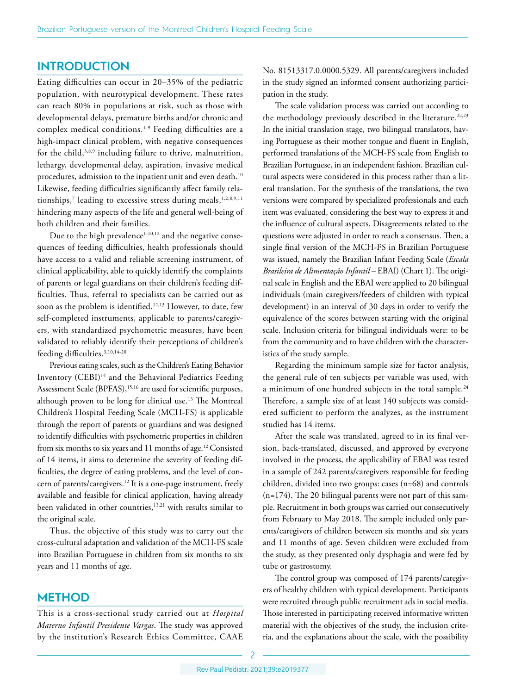# **INTRODUCTION**

Eating difficulties can occur in 20–35% of the pediatric population, with neurotypical development. These rates can reach 80% in populations at risk, such as those with developmental delays, premature births and/or chronic and complex medical conditions.1-9 Feeding difficulties are a high-impact clinical problem, with negative consequences for the child,<sup>3,8,9</sup> including failure to thrive, malnutrition, lethargy, developmental delay, aspiration, invasive medical procedures, admission to the inpatient unit and even death.<sup>10</sup> Likewise, feeding difficulties significantly affect family relationships, $^7$  leading to excessive stress during meals,  $^{1,2,8,9,11}$ hindering many aspects of the life and general well-being of both children and their families.

Due to the high prevalence $1-10,12$  and the negative consequences of feeding difficulties, health professionals should have access to a valid and reliable screening instrument, of clinical applicability, able to quickly identify the complaints of parents or legal guardians on their children's feeding difficulties. Thus, referral to specialists can be carried out as soon as the problem is identified.<sup>12,13</sup> However, to date, few self-completed instruments, applicable to parents/caregivers, with standardized psychometric measures, have been validated to reliably identify their perceptions of children's feeding difficulties.<sup>3,10,14-20</sup>

Previous eating scales, such as the Children's Eating Behavior Inventory (CEBI)14 and the Behavioral Pediatrics Feeding Assessment Scale (BPFAS),<sup>15,16</sup> are used for scientific purposes, although proven to be long for clinical use.13 The Montreal Children's Hospital Feeding Scale (MCH-FS) is applicable through the report of parents or guardians and was designed to identify difficulties with psychometric properties in children from six months to six years and 11 months of age.<sup>12</sup> Consisted of 14 items, it aims to determine the severity of feeding difficulties, the degree of eating problems, and the level of concern of parents/caregivers.12 It is a one-page instrument, freely available and feasible for clinical application, having already been validated in other countries,<sup>13,21</sup> with results similar to the original scale.

Thus, the objective of this study was to carry out the cross-cultural adaptation and validation of the MCH-FS scale into Brazilian Portuguese in children from six months to six years and 11 months of age.

# **METHOD**

This is a cross-sectional study carried out at *Hospital Materno Infantil Presidente Vargas*. The study was approved by the institution's Research Ethics Committee, CAAE

No. 81513317.0.0000.5329. All parents/caregivers included in the study signed an informed consent authorizing participation in the study.

The scale validation process was carried out according to the methodology previously described in the literature.<sup>22,23</sup> In the initial translation stage, two bilingual translators, having Portuguese as their mother tongue and fluent in English, performed translations of the MCH-FS scale from English to Brazilian Portuguese, in an independent fashion. Brazilian cultural aspects were considered in this process rather than a literal translation. For the synthesis of the translations, the two versions were compared by specialized professionals and each item was evaluated, considering the best way to express it and the influence of cultural aspects. Disagreements related to the questions were adjusted in order to reach a consensus. Then, a single final version of the MCH-FS in Brazilian Portuguese was issued, namely the Brazilian Infant Feeding Scale (*Escala Brasileira de Alimentação Infantil* – EBAI) (Chart 1). The original scale in English and the EBAI were applied to 20 bilingual individuals (main caregivers/feeders of children with typical development) in an interval of 30 days in order to verify the equivalence of the scores between starting with the original scale. Inclusion criteria for bilingual individuals were: to be from the community and to have children with the characteristics of the study sample.

Regarding the minimum sample size for factor analysis, the general rule of ten subjects per variable was used, with a minimum of one hundred subjects in the total sample.<sup>24</sup> Therefore, a sample size of at least 140 subjects was considered sufficient to perform the analyzes, as the instrument studied has 14 items.

After the scale was translated, agreed to in its final version, back-translated, discussed, and approved by everyone involved in the process, the applicability of EBAI was tested in a sample of 242 parents/caregivers responsible for feeding children, divided into two groups: cases (n=68) and controls (n=174). The 20 bilingual parents were not part of this sample. Recruitment in both groups was carried out consecutively from February to May 2018. The sample included only parents/caregivers of children between six months and six years and 11 months of age. Seven children were excluded from the study, as they presented only dysphagia and were fed by tube or gastrostomy.

The control group was composed of 174 parents/caregivers of healthy children with typical development. Participants were recruited through public recruitment ads in social media. Those interested in participating received informative written material with the objectives of the study, the inclusion criteria, and the explanations about the scale, with the possibility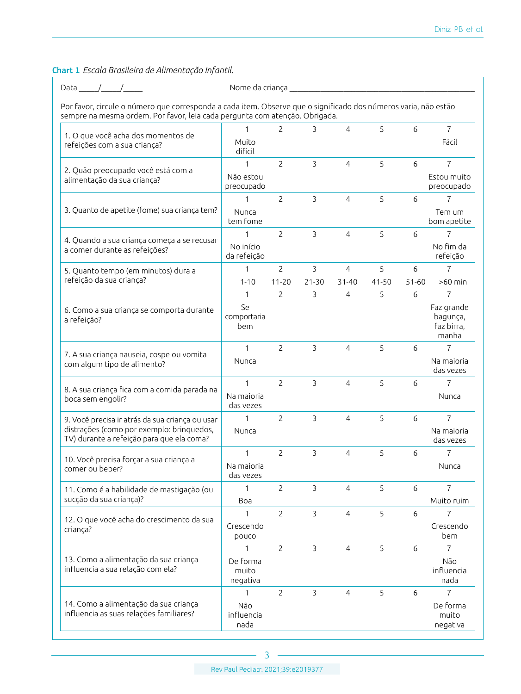# Chart 1 *Escala Brasileira de Alimentação Infantil*.

Data \_\_\_\_\_/\_\_\_\_\_/\_\_\_\_\_ Nome da criança \_\_\_\_\_\_\_\_\_\_\_\_\_\_\_\_\_\_\_\_\_\_\_\_\_\_\_\_\_\_\_\_\_\_\_\_\_\_\_\_\_\_\_\_\_\_\_\_

Por favor, circule o número que corresponda a cada item. Observe que o significado dos números varia, não estão sempre na mesma ordem. Por favor, leia cada pergunta com atenção. Obrigada.

|                                                                                        | 1                             | 2              | 3              | 4              | 5     | 6         | 7                                             |
|----------------------------------------------------------------------------------------|-------------------------------|----------------|----------------|----------------|-------|-----------|-----------------------------------------------|
| 1. O que você acha dos momentos de<br>refeições com a sua criança?                     | Muito<br>difícil              |                |                |                |       |           | Fácil                                         |
| 2. Quão preocupado você está com a                                                     | 1                             | $\overline{2}$ | 3              | 4              | 5     | 6         | $\overline{7}$                                |
| alimentação da sua criança?                                                            | Não estou<br>preocupado       |                |                |                |       |           | Estou muito<br>preocupado                     |
|                                                                                        | 1                             | $\overline{c}$ | $\overline{3}$ | 4              | 5     | 6         | $\overline{7}$                                |
| 3. Quanto de apetite (fome) sua criança tem?                                           | Nunca<br>tem fome             |                |                |                |       |           | Tem um<br>bom apetite                         |
| 4. Quando a sua criança começa a se recusar                                            | 1                             | $\overline{2}$ | $\mathbf{3}$   | 4              | 5     | 6         | 7                                             |
| a comer durante as refeições?                                                          | No início<br>da refeição      |                |                |                |       |           | No fim da<br>refeição                         |
| 5. Quanto tempo (em minutos) dura a                                                    | 1                             | $\overline{2}$ | 3              | 4              | 5     | 6         | 7                                             |
| refeição da sua criança?                                                               | $1 - 10$                      | $11 - 20$      | $21 - 30$      | $31 - 40$      | 41-50 | $51 - 60$ | $>60$ min                                     |
|                                                                                        | $\mathbf{1}$                  | $\overline{2}$ | $\mathbf{3}$   | 4              | 5     | 6         | $\overline{7}$                                |
| 6. Como a sua criança se comporta durante<br>a refeição?                               | Se<br>comportaria<br>bem      |                |                |                |       |           | Faz grande<br>bagunça,<br>faz birra,<br>manha |
|                                                                                        | 1                             | $\overline{2}$ | $\overline{3}$ | $\overline{4}$ | 5     | 6         | 7                                             |
| 7. A sua criança nauseia, cospe ou vomita<br>com algum tipo de alimento?               | Nunca                         |                |                |                |       |           | Na maioria<br>das vezes                       |
| 8. A sua criança fica com a comida parada na                                           | $\mathbf{1}$                  | $\overline{c}$ | $\overline{3}$ | 4              | 5     | 6         | $\overline{7}$                                |
| boca sem engolir?                                                                      | Na maioria<br>das vezes       |                |                |                |       |           | Nunca                                         |
| 9. Você precisa ir atrás da sua criança ou usar                                        | 1                             | 2              | 3              | 4              | 5     | 6         | $\overline{7}$                                |
| distrações (como por exemplo: brinquedos,<br>TV) durante a refeição para que ela coma? | Nunca                         |                |                |                |       |           | Na maioria<br>das vezes                       |
| 10. Você precisa forçar a sua criança a                                                | $\mathbf{1}$                  | $\overline{2}$ | $\overline{3}$ | $\overline{4}$ | 5     | 6         | 7                                             |
| comer ou beber?                                                                        | Na maioria<br>das vezes       |                |                |                |       |           | Nunca                                         |
| 11. Como é a habilidade de mastigação (ou                                              | $\mathbf{1}$                  | $\overline{c}$ | $\overline{3}$ | $\overline{4}$ | 5     | 6         | $\overline{7}$                                |
| sucção da sua criança)?                                                                | Boa                           |                |                |                |       |           | Muito ruim                                    |
| 12. O que você acha do crescimento da sua                                              | $\mathbf{1}$                  | $\mathcal{P}$  | 3              | 4              | 5     | 6         | $\overline{7}$                                |
| criança?                                                                               | Crescendo<br>pouco            |                |                |                |       |           | Crescendo<br>bem                              |
|                                                                                        | 1                             | $\overline{2}$ | 3              | $\overline{4}$ | 5     | 6         | $\overline{7}$                                |
| 13. Como a alimentação da sua criança<br>influencia a sua relação com ela?             | De forma<br>muito<br>negativa |                |                |                |       |           | Não<br>influencia<br>nada                     |
|                                                                                        | 1                             | $\overline{2}$ | 3              | $\overline{4}$ | 5     | 6         | 7                                             |
| 14. Como a alimentação da sua criança<br>influencia as suas relações familiares?       | Não<br>influencia<br>nada     |                |                |                |       |           | De forma<br>muito<br>negativa                 |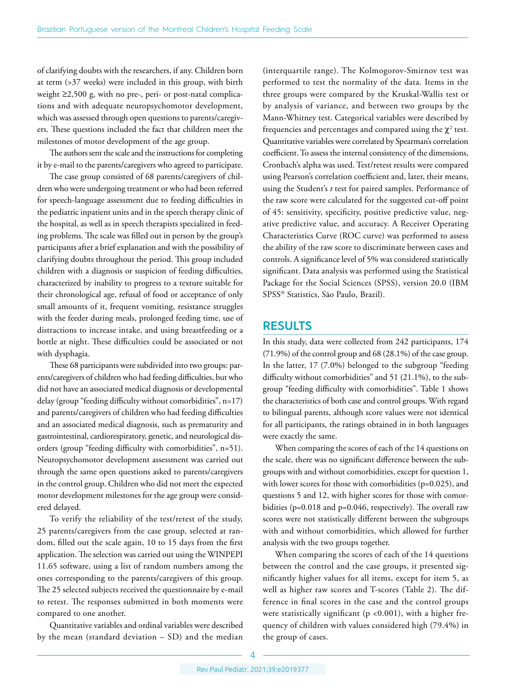of clarifying doubts with the researchers, if any. Children born at term (>37 weeks) were included in this group, with birth weight ≥2,500 g, with no pre-, peri- or post-natal complications and with adequate neuropsychomotor development, which was assessed through open questions to parents/caregivers. These questions included the fact that children meet the milestones of motor development of the age group.

The authors sent the scale and the instructions for completing it by e-mail to the parents/caregivers who agreed to participate.

The case group consisted of 68 parents/caregivers of children who were undergoing treatment or who had been referred for speech-language assessment due to feeding difficulties in the pediatric inpatient units and in the speech therapy clinic of the hospital, as well as in speech therapists specialized in feeding problems. The scale was filled out in person by the group's participants after a brief explanation and with the possibility of clarifying doubts throughout the period. This group included children with a diagnosis or suspicion of feeding difficulties, characterized by inability to progress to a texture suitable for their chronological age, refusal of food or acceptance of only small amounts of it, frequent vomiting, resistance struggles with the feeder during meals, prolonged feeding time, use of distractions to increase intake, and using breastfeeding or a bottle at night. These difficulties could be associated or not with dysphagia.

These 68 participants were subdivided into two groups: parents/caregivers of children who had feeding difficulties, but who did not have an associated medical diagnosis or developmental delay (group "feeding difficulty without comorbidities", n=17) and parents/caregivers of children who had feeding difficulties and an associated medical diagnosis, such as prematurity and gastrointestinal, cardiorespiratory, genetic, and neurological disorders (group "feeding difficulty with comorbidities", n=51). Neuropsychomotor development assessment was carried out through the same open questions asked to parents/caregivers in the control group. Children who did not meet the expected motor development milestones for the age group were considered delayed.

To verify the reliability of the test/retest of the study, 25 parents/caregivers from the case group, selected at random, filled out the scale again, 10 to 15 days from the first application. The selection was carried out using the WINPEPI 11.65 software, using a list of random numbers among the ones corresponding to the parents/caregivers of this group. The 25 selected subjects received the questionnaire by e-mail to retest. The responses submitted in both moments were compared to one another.

Quantitative variables and ordinal variables were described by the mean (standard deviation – SD) and the median

(interquartile range). The Kolmogorov-Smirnov test was performed to test the normality of the data. Items in the three groups were compared by the Kruskal-Wallis test or by analysis of variance, and between two groups by the Mann-Whitney test. Categorical variables were described by frequencies and percentages and compared using the  $\chi^2$  test. Quantitative variables were correlated by Spearman's correlation coefficient. To assess the internal consistency of the dimensions, Cronbach's alpha was used. Test/retest results were compared using Pearson's correlation coefficient and, later, their means, using the Student's *t* test for paired samples. Performance of the raw score were calculated for the suggested cut-off point of 45: sensitivity, specificity, positive predictive value, negative predictive value, and accuracy. A Receiver Operating Characteristics Curve (ROC curve) was performed to assess the ability of the raw score to discriminate between cases and controls. A significance level of 5% was considered statistically significant. Data analysis was performed using the Statistical Package for the Social Sciences (SPSS), version 20.0 (IBM SPSS® Statistics, São Paulo, Brazil).

# **RESULTS**

In this study, data were collected from 242 participants, 174 (71.9%) of the control group and 68 (28.1%) of the case group. In the latter, 17 (7.0%) belonged to the subgroup "feeding difficulty without comorbidities" and 51 (21.1%), to the subgroup "feeding difficulty with comorbidities". Table 1 shows the characteristics of both case and control groups. With regard to bilingual parents, although score values were not identical for all participants, the ratings obtained in in both languages were exactly the same.

When comparing the scores of each of the 14 questions on the scale, there was no significant difference between the subgroups with and without comorbidities, except for question 1, with lower scores for those with comorbidities (p=0.025), and questions 5 and 12, with higher scores for those with comorbidities (p=0.018 and p=0.046, respectively). The overall raw scores were not statistically different between the subgroups with and without comorbidities, which allowed for further analysis with the two groups together.

When comparing the scores of each of the 14 questions between the control and the case groups, it presented significantly higher values for all items, except for item 5, as well as higher raw scores and T-scores (Table 2). The difference in final scores in the case and the control groups were statistically significant (p <0.001), with a higher frequency of children with values considered high (79.4%) in the group of cases.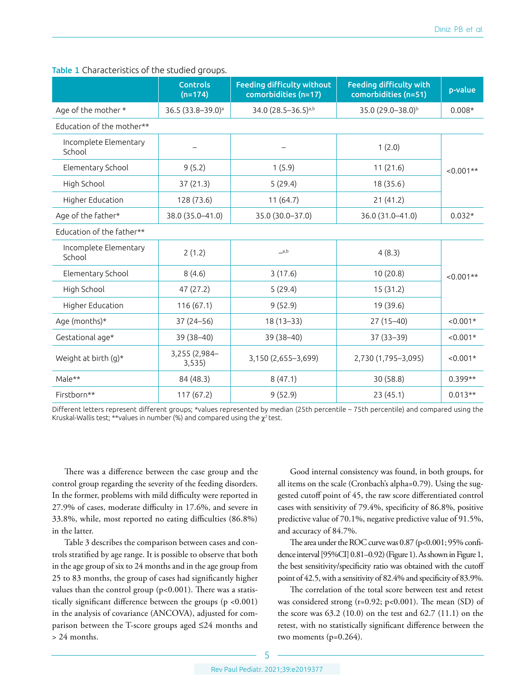|                                 | <b>Controls</b><br>$(n=174)$  | <b>Feeding difficulty without</b><br>comorbidities (n=17) | <b>Feeding difficulty with</b><br>comorbidities (n=51) | p-value     |
|---------------------------------|-------------------------------|-----------------------------------------------------------|--------------------------------------------------------|-------------|
| Age of the mother *             | 36.5 (33.8-39.0) <sup>a</sup> | 34.0 (28.5-36.5)a,b                                       | 35.0 (29.0-38.0) <sup>b</sup>                          | $0.008*$    |
| Education of the mother**       |                               |                                                           |                                                        |             |
| Incomplete Elementary<br>School |                               |                                                           | 1(2.0)                                                 |             |
| Elementary School               | 9(5.2)                        | 1(5.9)                                                    | 11(21.6)                                               | $<0.001**$  |
| High School                     | 37(21.3)                      | 5(29.4)                                                   | 18 (35.6)                                              |             |
| Higher Education                | 128 (73.6)                    | 11(64.7)                                                  | 21(41.2)                                               |             |
| Age of the father*              | 38.0 (35.0-41.0)              | 35.0 (30.0-37.0)                                          | 36.0 (31.0-41.0)                                       | $0.032*$    |
| Education of the father**       |                               |                                                           |                                                        |             |
| Incomplete Elementary<br>School | 2(1.2)                        | a,b                                                       | 4(8.3)                                                 |             |
| Elementary School               | 8(4.6)                        | 3(17.6)                                                   | 10(20.8)                                               | $< 0.001**$ |
| High School                     | 47 (27.2)                     | 5(29.4)                                                   | 15(31.2)                                               |             |
| Higher Education                | 116(67.1)                     | 9(52.9)                                                   | 19 (39.6)                                              |             |
| Age (months)*                   | $37(24 - 56)$                 | 18 (13-33)                                                | $27(15-40)$                                            | $< 0.001*$  |
| Gestational age*                | 39 (38-40)                    | 39 (38-40)                                                | $37(33 - 39)$                                          | $< 0.001*$  |
| Weight at birth (g)*            | 3,255 (2,984-<br>3,535)       | 3,150 (2,655-3,699)                                       | 2,730 (1,795-3,095)                                    | $< 0.001*$  |
| Male**                          | 84 (48.3)                     | 8(47.1)                                                   | 30(58.8)                                               | $0.399**$   |
| Firstborn**                     | 117(67.2)                     | 9(52.9)                                                   | 23(45.1)                                               | $0.013**$   |

Table 1 Characteristics of the studied groups.

Different letters represent different groups; \*values represented by median (25th percentile – 75th percentile) and compared using the Kruskal-Wallis test; \*\*values in number (%) and compared using the  $\chi^2$  test.

There was a difference between the case group and the control group regarding the severity of the feeding disorders. In the former, problems with mild difficulty were reported in 27.9% of cases, moderate difficulty in 17.6%, and severe in 33.8%, while, most reported no eating difficulties (86.8%) in the latter.

Table 3 describes the comparison between cases and controls stratified by age range. It is possible to observe that both in the age group of six to 24 months and in the age group from 25 to 83 months, the group of cases had significantly higher values than the control group (p<0.001). There was a statistically significant difference between the groups (p <0.001) in the analysis of covariance (ANCOVA), adjusted for comparison between the T-score groups aged ≤24 months and > 24 months.

Good internal consistency was found, in both groups, for all items on the scale (Cronbach's alpha=0.79). Using the suggested cutoff point of 45, the raw score differentiated control cases with sensitivity of 79.4%, specificity of 86.8%, positive predictive value of 70.1%, negative predictive value of 91.5%, and accuracy of 84.7%.

The area under the ROC curve was 0.87 (p<0.001; 95% confidence interval [95%CI] 0.81–0.92) (Figure 1). As shown in Figure 1, the best sensitivity/specificity ratio was obtained with the cutoff point of 42.5, with a sensitivity of 82.4% and specificity of 83.9%.

The correlation of the total score between test and retest was considered strong (r=0.92; p<0.001). The mean (SD) of the score was 63.2 (10.0) on the test and 62.7 (11.1) on the retest, with no statistically significant difference between the two moments (p=0.264).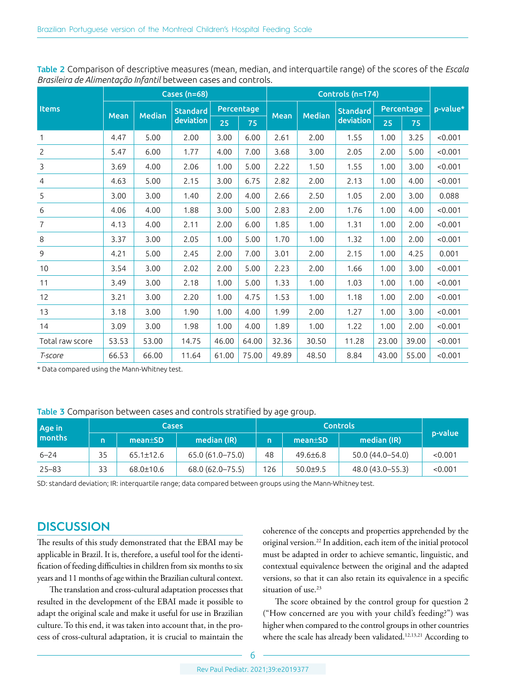|                 | <b>Cases (n=68)</b> |               |                              |            |       | Controls (n=174) |               |                 |            |       |          |
|-----------------|---------------------|---------------|------------------------------|------------|-------|------------------|---------------|-----------------|------------|-------|----------|
| <b>Items</b>    | <b>Mean</b>         | <b>Median</b> | <b>Standard</b><br>deviation | Percentage |       |                  |               | <b>Standard</b> | Percentage |       | p-value* |
|                 |                     |               |                              | 25         | 75    | <b>Mean</b>      | <b>Median</b> | deviation       | 25         | 75    |          |
| 1               | 4.47                | 5.00          | 2.00                         | 3.00       | 6.00  | 2.61             | 2.00          | 1.55            | 1.00       | 3.25  | < 0.001  |
| $\overline{c}$  | 5.47                | 6.00          | 1.77                         | 4.00       | 7.00  | 3.68             | 3.00          | 2.05            | 2.00       | 5.00  | < 0.001  |
| 3               | 3.69                | 4.00          | 2.06                         | 1.00       | 5.00  | 2.22             | 1.50          | 1.55            | 1.00       | 3.00  | < 0.001  |
| 4               | 4.63                | 5.00          | 2.15                         | 3.00       | 6.75  | 2.82             | 2.00          | 2.13            | 1.00       | 4.00  | < 0.001  |
| 5               | 3.00                | 3.00          | 1.40                         | 2.00       | 4.00  | 2.66             | 2.50          | 1.05            | 2.00       | 3.00  | 0.088    |
| 6               | 4.06                | 4.00          | 1.88                         | 3.00       | 5.00  | 2.83             | 2.00          | 1.76            | 1.00       | 4.00  | < 0.001  |
| 7               | 4.13                | 4.00          | 2.11                         | 2.00       | 6.00  | 1.85             | 1.00          | 1.31            | 1.00       | 2.00  | < 0.001  |
| 8               | 3.37                | 3.00          | 2.05                         | 1.00       | 5.00  | 1.70             | 1.00          | 1.32            | 1.00       | 2.00  | < 0.001  |
| 9               | 4.21                | 5.00          | 2.45                         | 2.00       | 7.00  | 3.01             | 2.00          | 2.15            | 1.00       | 4.25  | 0.001    |
| 10              | 3.54                | 3.00          | 2.02                         | 2.00       | 5.00  | 2.23             | 2.00          | 1.66            | 1.00       | 3.00  | < 0.001  |
| 11              | 3.49                | 3.00          | 2.18                         | 1.00       | 5.00  | 1.33             | 1.00          | 1.03            | 1.00       | 1.00  | < 0.001  |
| 12              | 3.21                | 3.00          | 2.20                         | 1.00       | 4.75  | 1.53             | 1.00          | 1.18            | 1.00       | 2.00  | < 0.001  |
| 13              | 3.18                | 3.00          | 1.90                         | 1.00       | 4.00  | 1.99             | 2.00          | 1.27            | 1.00       | 3.00  | < 0.001  |
| 14              | 3.09                | 3.00          | 1.98                         | 1.00       | 4.00  | 1.89             | 1.00          | 1.22            | 1.00       | 2.00  | < 0.001  |
| Total raw score | 53.53               | 53.00         | 14.75                        | 46.00      | 64.00 | 32.36            | 30.50         | 11.28           | 23.00      | 39.00 | < 0.001  |
| T-score         | 66.53               | 66.00         | 11.64                        | 61.00      | 75.00 | 49.89            | 48.50         | 8.84            | 43.00      | 55.00 | < 0.001  |

Table 2 Comparison of descriptive measures (mean, median, and interquartile range) of the scores of the *Escala Brasileira de Alimentação Infantil* between cases and controls.

\* Data compared using the Mann-Whitney test.

#### Table 3 Comparison between cases and controls stratified by age group.

| Age in<br>months |    | <b>Cases</b>    |                     |     |                      |                     |         |
|------------------|----|-----------------|---------------------|-----|----------------------|---------------------|---------|
|                  | n  | $mean \pm SD$   | median (IR)         | n   | mean <sub>±</sub> SD | median (IR)         | p-value |
| $6 - 24$         | 35 | $65.1 \pm 12.6$ | $65.0(61.0 - 75.0)$ | 48  | $49.6 \pm 6.8$       | $50.0(44.0 - 54.0)$ | < 0.001 |
| $25 - 83$        | 33 | $68.0 \pm 10.6$ | 68.0 (62.0-75.5)    | 126 | $50.0 + 9.5$         | 48.0 (43.0 - 55.3)  | < 0.001 |

SD: standard deviation; IR: interquartile range; data compared between groups using the Mann-Whitney test.

# **DISCUSSION**

The results of this study demonstrated that the EBAI may be applicable in Brazil. It is, therefore, a useful tool for the identification of feeding difficulties in children from six months to six years and 11 months of age within the Brazilian cultural context.

The translation and cross-cultural adaptation processes that resulted in the development of the EBAI made it possible to adapt the original scale and make it useful for use in Brazilian culture. To this end, it was taken into account that, in the process of cross-cultural adaptation, it is crucial to maintain the

coherence of the concepts and properties apprehended by the original version.22 In addition, each item of the initial protocol must be adapted in order to achieve semantic, linguistic, and contextual equivalence between the original and the adapted versions, so that it can also retain its equivalence in a specific situation of use.<sup>23</sup>

The score obtained by the control group for question 2 ("How concerned are you with your child's feeding?") was higher when compared to the control groups in other countries where the scale has already been validated.<sup>12,13,21</sup> According to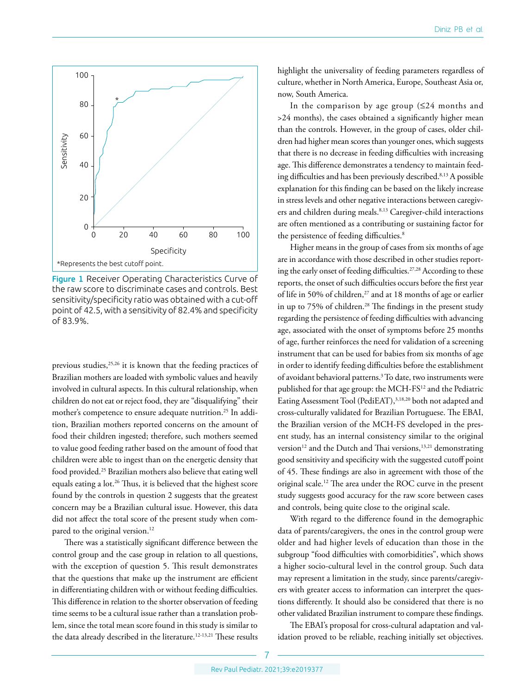

Figure 1 Receiver Operating Characteristics Curve of the raw score to discriminate cases and controls. Best sensitivity/specificity ratio was obtained with a cut-off point of 42.5, with a sensitivity of 82.4% and specificity of 83.9%.

previous studies,<sup>25,26</sup> it is known that the feeding practices of Brazilian mothers are loaded with symbolic values and heavily involved in cultural aspects. In this cultural relationship, when children do not eat or reject food, they are "disqualifying" their mother's competence to ensure adequate nutrition.25 In addition, Brazilian mothers reported concerns on the amount of food their children ingested; therefore, such mothers seemed to value good feeding rather based on the amount of food that children were able to ingest than on the energetic density that food provided.25 Brazilian mothers also believe that eating well equals eating a lot.<sup>26</sup> Thus, it is believed that the highest score found by the controls in question 2 suggests that the greatest concern may be a Brazilian cultural issue. However, this data did not affect the total score of the present study when compared to the original version.<sup>12</sup>

There was a statistically significant difference between the control group and the case group in relation to all questions, with the exception of question 5. This result demonstrates that the questions that make up the instrument are efficient in differentiating children with or without feeding difficulties. This difference in relation to the shorter observation of feeding time seems to be a cultural issue rather than a translation problem, since the total mean score found in this study is similar to the data already described in the literature.12-13,21 These results

highlight the universality of feeding parameters regardless of culture, whether in North America, Europe, Southeast Asia or, now, South America.

In the comparison by age group  $(≤24$  months and >24 months), the cases obtained a significantly higher mean than the controls. However, in the group of cases, older children had higher mean scores than younger ones, which suggests that there is no decrease in feeding difficulties with increasing age. This difference demonstrates a tendency to maintain feeding difficulties and has been previously described.<sup>8,13</sup> A possible explanation for this finding can be based on the likely increase in stress levels and other negative interactions between caregivers and children during meals.<sup>8,13</sup> Caregiver-child interactions are often mentioned as a contributing or sustaining factor for the persistence of feeding difficulties.<sup>8</sup>

Higher means in the group of cases from six months of age are in accordance with those described in other studies reporting the early onset of feeding difficulties.<sup>27,28</sup> According to these reports, the onset of such difficulties occurs before the first year of life in 50% of children,<sup>27</sup> and at 18 months of age or earlier in up to 75% of children.<sup>28</sup> The findings in the present study regarding the persistence of feeding difficulties with advancing age, associated with the onset of symptoms before 25 months of age, further reinforces the need for validation of a screening instrument that can be used for babies from six months of age in order to identify feeding difficulties before the establishment of avoidant behavioral patterns.3 To date, two instruments were published for that age group: the MCH-FS12 and the Pediatric Eating Assessment Tool (PediEAT),<sup>3,18,20</sup> both not adapted and cross-culturally validated for Brazilian Portuguese. The EBAI, the Brazilian version of the MCH-FS developed in the present study, has an internal consistency similar to the original version<sup>12</sup> and the Dutch and Thai versions,<sup>13,21</sup> demonstrating good sensitivity and specificity with the suggested cutoff point of 45. These findings are also in agreement with those of the original scale.12 The area under the ROC curve in the present study suggests good accuracy for the raw score between cases and controls, being quite close to the original scale.

With regard to the difference found in the demographic data of parents/caregivers, the ones in the control group were older and had higher levels of education than those in the subgroup "food difficulties with comorbidities", which shows a higher socio-cultural level in the control group. Such data may represent a limitation in the study, since parents/caregivers with greater access to information can interpret the questions differently. It should also be considered that there is no other validated Brazilian instrument to compare these findings.

The EBAI's proposal for cross-cultural adaptation and validation proved to be reliable, reaching initially set objectives.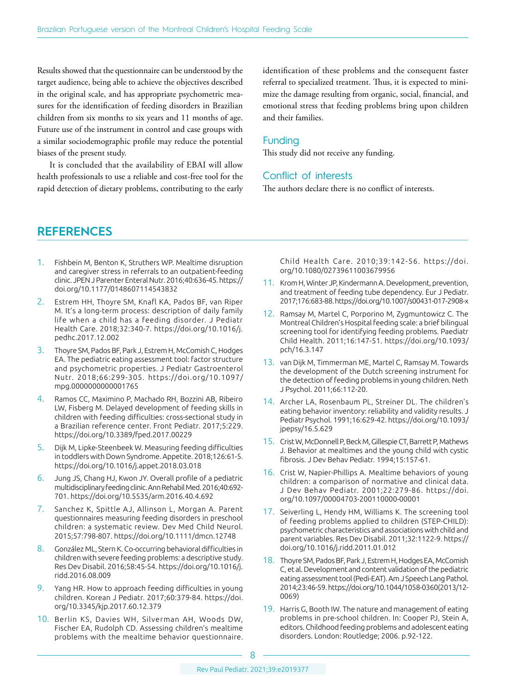Results showed that the questionnaire can be understood by the target audience, being able to achieve the objectives described in the original scale, and has appropriate psychometric measures for the identification of feeding disorders in Brazilian children from six months to six years and 11 months of age. Future use of the instrument in control and case groups with a similar sociodemographic profile may reduce the potential biases of the present study.

It is concluded that the availability of EBAI will allow health professionals to use a reliable and cost-free tool for the rapid detection of dietary problems, contributing to the early identification of these problems and the consequent faster referral to specialized treatment. Thus, it is expected to minimize the damage resulting from organic, social, financial, and emotional stress that feeding problems bring upon children and their families.

#### Funding

This study did not receive any funding.

### Conflict of interests

The authors declare there is no conflict of interests.

# **REFERENCES**

- 1. Fishbein M, Benton K, Struthers WP. Mealtime disruption and caregiver stress in referrals to an outpatient-feeding clinic. JPEN J Parenter Enteral Nutr. 2016;40:636-45. [https://](https://doi.org/10.1177/0148607114543832) [doi.org/10.1177/0148607114543832](https://doi.org/10.1177/0148607114543832)
- 2. Estrem HH, Thoyre SM, Knafl KA, Pados BF, van Riper M. It's a long-term process: description of daily family life when a child has a feeding disorder. J Pediatr Health Care. 2018;32:340-7. [https://doi.org/10.1016/j.](https://doi.org/10.1016/j.pedhc.2017.12.002) [pedhc.2017.12.002](https://doi.org/10.1016/j.pedhc.2017.12.002)
- 3. Thoyre SM, Pados BF, Park J, Estrem H, McComish C, Hodges EA. The pediatric eating assessment tool: factor structure and psychometric properties. J Pediatr Gastroenterol Nutr. 2018;66:299-305. [https://doi.org/10.1097/](https://doi.org/10.1097/mpg.0000000000001765) [mpg.0000000000001765](https://doi.org/10.1097/mpg.0000000000001765)
- 4. Ramos CC, Maximino P, Machado RH, Bozzini AB, Ribeiro LW, Fisberg M. Delayed development of feeding skills in children with feeding difficulties: cross-sectional study in a Brazilian reference center. Front Pediatr. 2017;5:229. <https://doi.org/10.3389/fped.2017.00229>
- 5. Dijk M, Lipke-Steenbeek W. Measuring feeding difficulties in toddlers with Down Syndrome. Appetite. 2018;126:61-5. <https://doi.org/10.1016/j.appet.2018.03.018>
- 6. Jung JS, Chang HJ, Kwon JY. Overall profile of a pediatric multidisciplinary feeding clinic. Ann Rehabil Med. 2016;40:692- 701. <https://doi.org/10.5535/arm.2016.40.4.692>
- 7. Sanchez K, Spittle AJ, Allinson L, Morgan A. Parent questionnaires measuring feeding disorders in preschool children: a systematic review. Dev Med Child Neurol. 2015;57:798-807.<https://doi.org/10.1111/dmcn.12748>
- 8. González ML, Stern K. Co-occurring behavioral difficulties in children with severe feeding problems: a descriptive study. Res Dev Disabil. 2016;58:45-54. [https://doi.org/10.1016/j.](https://doi.org/10.1016/j.ridd.2016.08.009) [ridd.2016.08.009](https://doi.org/10.1016/j.ridd.2016.08.009)
- 9. Yang HR. How to approach feeding difficulties in young children. Korean J Pediatr. 2017;60:379-84. [https://doi.](https://doi.org/10.3345/kjp.2017.60.12.379) [org/10.3345/kjp.2017.60.12.379](https://doi.org/10.3345/kjp.2017.60.12.379)
- 10. Berlin KS, Davies WH, Silverman AH, Woods DW, Fischer EA, Rudolph CD. Assessing children's mealtime problems with the mealtime behavior questionnaire.

Child Health Care. 2010;39:142-56. [https://doi.](https://doi.org/10.1080/02739611003679956) [org/10.1080/02739611003679956](https://doi.org/10.1080/02739611003679956)

- 11. Krom H, Winter JP, Kindermann A. Development, prevention, and treatment of feeding tube dependency. Eur J Pediatr. 2017;176:683-88.<https://doi.org/10.1007/s00431-017-2908-x>
- 12. Ramsay M, Martel C, Porporino M, Zygmuntowicz C. The Montreal Children's Hospital feeding scale: a brief bilingual screening tool for identifying feeding problems. Paediatr Child Health. 2011;16:147-51. [https://doi.org/10.1093/](https://doi.org/10.1093/pch/16.3.147) [pch/16.3.147](https://doi.org/10.1093/pch/16.3.147)
- 13. van Dijk M, Timmerman ME, Martel C, Ramsay M. Towards the development of the Dutch screening instrument for the detection of feeding problems in young children. Neth J Psychol. 2011;66:112-20.
- 14. Archer LA, Rosenbaum PL, Streiner DL. The children's eating behavior inventory: reliability and validity results. J Pediatr Psychol. 1991;16:629-42. [https://doi.org/10.1093/](https://doi.org/10.1093/jpepsy/16.5.629) [jpepsy/16.5.629](https://doi.org/10.1093/jpepsy/16.5.629)
- 15. Crist W, McDonnell P, Beck M, Gillespie CT, Barrett P, Mathews J. Behavior at mealtimes and the young child with cystic fibrosis. J Dev Behav Pediatr. 1994;15:157-61.
- 16. Crist W, Napier-Phillips A. Mealtime behaviors of young children: a comparison of normative and clinical data. J Dev Behav Pediatr. 2001;22:279-86. [https://doi.](https://doi.org/10.1097/00004703-200110000-00001) [org/10.1097/00004703-200110000-00001](https://doi.org/10.1097/00004703-200110000-00001)
- 17. Seiverling L, Hendy HM, Williams K. The screening tool of feeding problems applied to children (STEP-CHILD): psychometric characteristics and associations with child and parent variables. Res Dev Disabil. 2011;32:1122-9. [https://](https://doi.org/10.1016/j.ridd.2011.01.012) [doi.org/10.1016/j.ridd.2011.01.012](https://doi.org/10.1016/j.ridd.2011.01.012)
- 18. Thoyre SM, Pados BF, Park J, Estrem H, Hodges EA, McComish C, et al. Development and content validation of the pediatric eating assessment tool (Pedi-EAT). Am J Speech Lang Pathol. 2014;23:46-59. [https://doi.org/10.1044/1058-0360\(2013/12-](https://doi.org/10.1044/1058-0360(2013/12-0069) [0069](https://doi.org/10.1044/1058-0360(2013/12-0069))
- 19. Harris G, Booth IW. The nature and management of eating problems in pre-school children. In: Cooper PJ, Stein A, editors. Childhood feeding problems and adolescent eating disorders. London: Routledge; 2006. p.92-122.